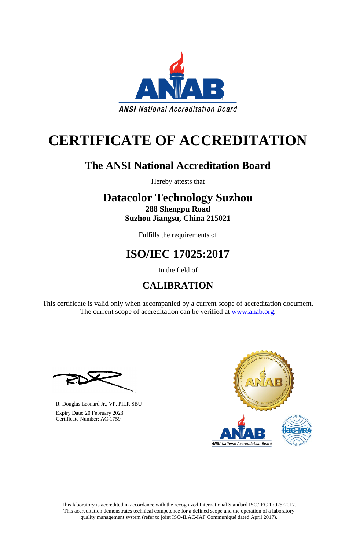This laboratory is accredited in accordance with the recognized International Standard ISO/IEC 17025:2017. This accreditation demonstrates technical competence for a defined scope and the operation of a laboratory quality management system (refer to joint ISO-ILAC-IAF Communiqué dated April 2017).

This certificate is valid only when accompanied by a current scope of accreditation document. The current scope of accreditation can be verified at [www.anab.org.](http://www.anab.org/)





# **CERTIFICATE OF ACCREDITATION**

### **The ANSI National Accreditation Board**

Hereby attests that

### **Datacolor Technology Suzhou 288 Shengpu Road**

**Suzhou Jiangsu, China 215021**

Fulfills the requirements of

## **ISO/IEC 17025:2017**

In the field of

## **CALIBRATION**

**\_\_\_\_\_\_\_\_\_\_\_\_\_\_\_\_\_\_\_\_\_\_\_\_\_\_\_\_\_\_** R. Douglas Leonard Jr., VP, PILR SBU



 Expiry Date: 20 February 2023 Certificate Number: AC-1759